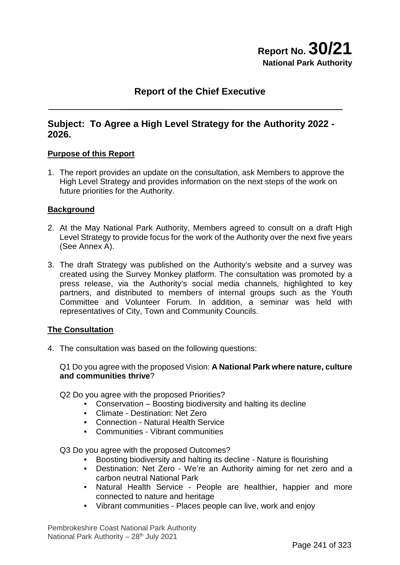### **Report of the Chief Executive**

#### **Subject: To Agree a High Level Strategy for the Authority 2022 - 2026.**

#### **Purpose of this Report**

1. The report provides an update on the consultation, ask Members to approve the High Level Strategy and provides information on the next steps of the work on future priorities for the Authority.

#### **Background**

- 2. At the May National Park Authority, Members agreed to consult on a draft High Level Strategy to provide focus for the work of the Authority over the next five years (See Annex A).
- 3. The draft Strategy was published on the Authority's website and a survey was created using the Survey Monkey platform. The consultation was promoted by a press release, via the Authority's social media channels, highlighted to key partners, and distributed to members of internal groups such as the Youth Committee and Volunteer Forum. In addition, a seminar was held with representatives of City, Town and Community Councils.

#### **The Consultation**

4. The consultation was based on the following questions:

Q1 Do you agree with the proposed Vision: **A National Park where nature, culture and communities thrive**?

Q2 Do you agree with the proposed Priorities?

- Conservation Boosting biodiversity and halting its decline
- Climate Destination: Net Zero
- Connection Natural Health Service
- Communities Vibrant communities

Q3 Do you agree with the proposed Outcomes?

- Boosting biodiversity and halting its decline Nature is flourishing
- Destination: Net Zero We're an Authority aiming for net zero and a carbon neutral National Park
- Natural Health Service People are healthier, happier and more connected to nature and heritage
- Vibrant communities Places people can live, work and enjoy

Pembrokeshire Coast National Park Authority National Park Authority - 28<sup>th</sup> July 2021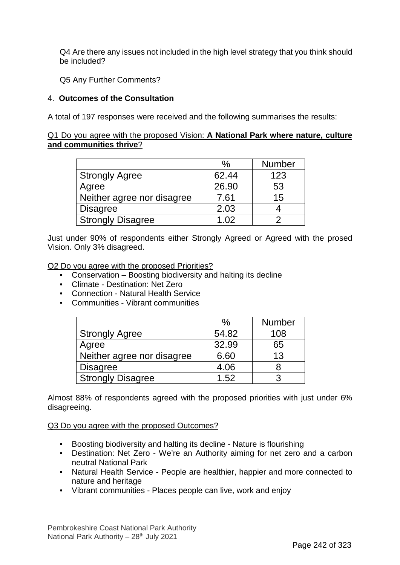Q4 Are there any issues not included in the high level strategy that you think should be included?

Q5 Any Further Comments?

#### 4. **Outcomes of the Consultation**

A total of 197 responses were received and the following summarises the results:

#### Q1 Do you agree with the proposed Vision: **A National Park where nature, culture and communities thrive**?

|                            | $\frac{0}{0}$   | <b>Number</b> |
|----------------------------|-----------------|---------------|
| <b>Strongly Agree</b>      | 62.44           | 123           |
| Agree                      | 26.90           | 53            |
| Neither agree nor disagree | 7.61            | 15            |
| <b>Disagree</b>            | 2.03            |               |
| <b>Strongly Disagree</b>   | 1 <sub>02</sub> |               |

Just under 90% of respondents either Strongly Agreed or Agreed with the prosed Vision. Only 3% disagreed.

Q2 Do you agree with the proposed Priorities?

- Conservation Boosting biodiversity and halting its decline
- Climate Destination: Net Zero
- Connection Natural Health Service
- Communities Vibrant communities

|                            | $\%$  | <b>Number</b> |
|----------------------------|-------|---------------|
| <b>Strongly Agree</b>      | 54.82 | 108           |
| Agree                      | 32.99 | 65            |
| Neither agree nor disagree | 6.60  | 13            |
| <b>Disagree</b>            | 4.06  |               |
| <b>Strongly Disagree</b>   | 1.52  |               |

Almost 88% of respondents agreed with the proposed priorities with just under 6% disagreeing.

#### Q3 Do you agree with the proposed Outcomes?

- Boosting biodiversity and halting its decline Nature is flourishing
- Destination: Net Zero We're an Authority aiming for net zero and a carbon neutral National Park
- Natural Health Service People are healthier, happier and more connected to nature and heritage
- Vibrant communities Places people can live, work and enjoy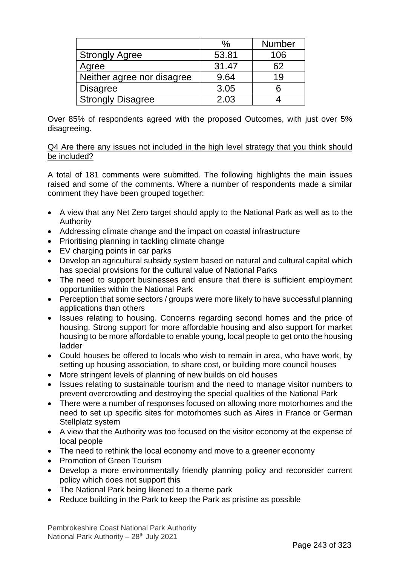|                            | $\%$  | <b>Number</b> |
|----------------------------|-------|---------------|
| <b>Strongly Agree</b>      | 53.81 | 106           |
| Agree                      | 31.47 | 62            |
| Neither agree nor disagree | 9.64  | 19            |
| <b>Disagree</b>            | 3.05  |               |
| <b>Strongly Disagree</b>   | 2.03  |               |

Over 85% of respondents agreed with the proposed Outcomes, with just over 5% disagreeing.

#### Q4 Are there any issues not included in the high level strategy that you think should be included?

A total of 181 comments were submitted. The following highlights the main issues raised and some of the comments. Where a number of respondents made a similar comment they have been grouped together:

- A view that any Net Zero target should apply to the National Park as well as to the Authority
- Addressing climate change and the impact on coastal infrastructure
- Prioritising planning in tackling climate change
- EV charging points in car parks
- Develop an agricultural subsidy system based on natural and cultural capital which has special provisions for the cultural value of National Parks
- The need to support businesses and ensure that there is sufficient employment opportunities within the National Park
- Perception that some sectors / groups were more likely to have successful planning applications than others
- Issues relating to housing. Concerns regarding second homes and the price of housing. Strong support for more affordable housing and also support for market housing to be more affordable to enable young, local people to get onto the housing ladder
- Could houses be offered to locals who wish to remain in area, who have work, by setting up housing association, to share cost, or building more council houses
- More stringent levels of planning of new builds on old houses
- Issues relating to sustainable tourism and the need to manage visitor numbers to prevent overcrowding and destroying the special qualities of the National Park
- There were a number of responses focused on allowing more motorhomes and the need to set up specific sites for motorhomes such as Aires in France or German Stellplatz system
- A view that the Authority was too focused on the visitor economy at the expense of local people
- The need to rethink the local economy and move to a greener economy
- Promotion of Green Tourism
- Develop a more environmentally friendly planning policy and reconsider current policy which does not support this
- The National Park being likened to a theme park
- Reduce building in the Park to keep the Park as pristine as possible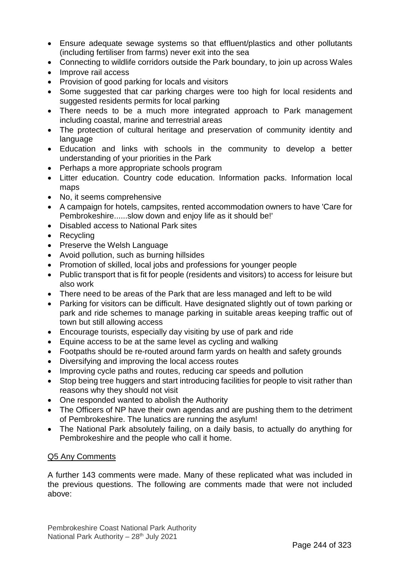- Ensure adequate sewage systems so that effluent/plastics and other pollutants (including fertiliser from farms) never exit into the sea
- Connecting to wildlife corridors outside the Park boundary, to join up across Wales
- Improve rail access
- Provision of good parking for locals and visitors
- Some suggested that car parking charges were too high for local residents and suggested residents permits for local parking
- There needs to be a much more integrated approach to Park management including coastal, marine and terrestrial areas
- The protection of cultural heritage and preservation of community identity and language
- Education and links with schools in the community to develop a better understanding of your priorities in the Park
- Perhaps a more appropriate schools program
- Litter education. Country code education. Information packs. Information local maps
- No, it seems comprehensive
- A campaign for hotels, campsites, rented accommodation owners to have 'Care for Pembrokeshire......slow down and enjoy life as it should be!'
- Disabled access to National Park sites
- Recycling
- Preserve the Welsh Language
- Avoid pollution, such as burning hillsides
- Promotion of skilled, local jobs and professions for younger people
- Public transport that is fit for people (residents and visitors) to access for leisure but also work
- There need to be areas of the Park that are less managed and left to be wild
- Parking for visitors can be difficult. Have designated slightly out of town parking or park and ride schemes to manage parking in suitable areas keeping traffic out of town but still allowing access
- Encourage tourists, especially day visiting by use of park and ride
- Equine access to be at the same level as cycling and walking
- Footpaths should be re-routed around farm yards on health and safety grounds
- Diversifying and improving the local access routes
- Improving cycle paths and routes, reducing car speeds and pollution
- Stop being tree huggers and start introducing facilities for people to visit rather than reasons why they should not visit
- One responded wanted to abolish the Authority
- The Officers of NP have their own agendas and are pushing them to the detriment of Pembrokeshire. The lunatics are running the asylum!
- The National Park absolutely failing, on a daily basis, to actually do anything for Pembrokeshire and the people who call it home.

#### Q5 Any Comments

A further 143 comments were made. Many of these replicated what was included in the previous questions. The following are comments made that were not included above: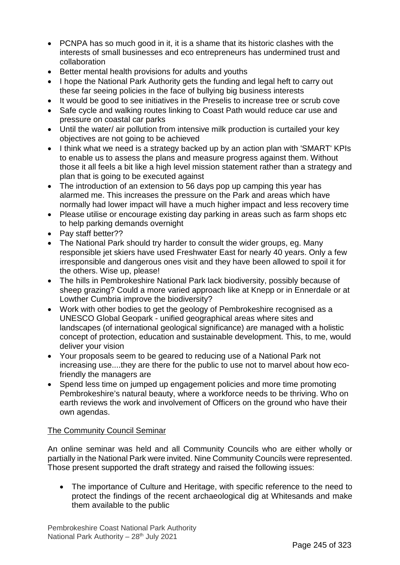- PCNPA has so much good in it, it is a shame that its historic clashes with the interests of small businesses and eco entrepreneurs has undermined trust and collaboration
- Better mental health provisions for adults and youths
- I hope the National Park Authority gets the funding and legal heft to carry out these far seeing policies in the face of bullying big business interests
- It would be good to see initiatives in the Preselis to increase tree or scrub cove
- Safe cycle and walking routes linking to Coast Path would reduce car use and pressure on coastal car parks
- Until the water/ air pollution from intensive milk production is curtailed your key objectives are not going to be achieved
- I think what we need is a strategy backed up by an action plan with 'SMART' KPIs to enable us to assess the plans and measure progress against them. Without those it all feels a bit like a high level mission statement rather than a strategy and plan that is going to be executed against
- The introduction of an extension to 56 days pop up camping this year has alarmed me. This increases the pressure on the Park and areas which have normally had lower impact will have a much higher impact and less recovery time
- Please utilise or encourage existing day parking in areas such as farm shops etc to help parking demands overnight
- Pay staff better??
- The National Park should try harder to consult the wider groups, eg. Many responsible jet skiers have used Freshwater East for nearly 40 years. Only a few irresponsible and dangerous ones visit and they have been allowed to spoil it for the others. Wise up, please!
- The hills in Pembrokeshire National Park lack biodiversity, possibly because of sheep grazing? Could a more varied approach like at Knepp or in Ennerdale or at Lowther Cumbria improve the biodiversity?
- Work with other bodies to get the geology of Pembrokeshire recognised as a UNESCO Global Geopark - unified geographical areas where sites and landscapes (of international geological significance) are managed with a holistic concept of protection, education and sustainable development. This, to me, would deliver your vision
- Your proposals seem to be geared to reducing use of a National Park not increasing use....they are there for the public to use not to marvel about how ecofriendly the managers are
- Spend less time on jumped up engagement policies and more time promoting Pembrokeshire's natural beauty, where a workforce needs to be thriving. Who on earth reviews the work and involvement of Officers on the ground who have their own agendas.

#### The Community Council Seminar

An online seminar was held and all Community Councils who are either wholly or partially in the National Park were invited. Nine Community Councils were represented. Those present supported the draft strategy and raised the following issues:

• The importance of Culture and Heritage, with specific reference to the need to protect the findings of the recent archaeological dig at Whitesands and make them available to the public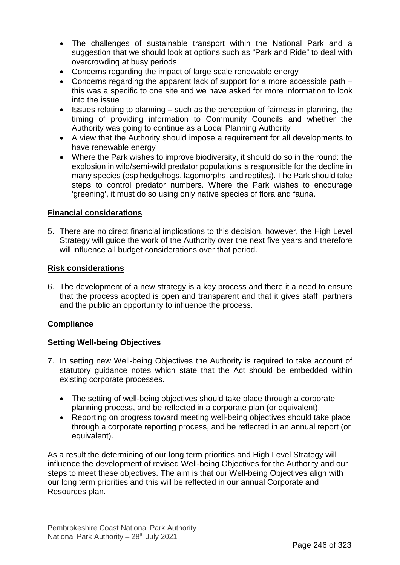- The challenges of sustainable transport within the National Park and a suggestion that we should look at options such as "Park and Ride" to deal with overcrowding at busy periods
- Concerns regarding the impact of large scale renewable energy
- Concerns regarding the apparent lack of support for a more accessible path this was a specific to one site and we have asked for more information to look into the issue
- Issues relating to planning such as the perception of fairness in planning, the timing of providing information to Community Councils and whether the Authority was going to continue as a Local Planning Authority
- A view that the Authority should impose a requirement for all developments to have renewable energy
- Where the Park wishes to improve biodiversity, it should do so in the round: the explosion in wild/semi-wild predator populations is responsible for the decline in many species (esp hedgehogs, lagomorphs, and reptiles). The Park should take steps to control predator numbers. Where the Park wishes to encourage 'greening', it must do so using only native species of flora and fauna.

#### **Financial considerations**

5. There are no direct financial implications to this decision, however, the High Level Strategy will guide the work of the Authority over the next five years and therefore will influence all budget considerations over that period.

#### **Risk considerations**

6. The development of a new strategy is a key process and there it a need to ensure that the process adopted is open and transparent and that it gives staff, partners and the public an opportunity to influence the process.

#### **Compliance**

#### **Setting Well-being Objectives**

- 7. In setting new Well-being Objectives the Authority is required to take account of statutory guidance notes which state that the Act should be embedded within existing corporate processes.
	- The setting of well-being objectives should take place through a corporate planning process, and be reflected in a corporate plan (or equivalent).
	- Reporting on progress toward meeting well-being objectives should take place through a corporate reporting process, and be reflected in an annual report (or equivalent).

As a result the determining of our long term priorities and High Level Strategy will influence the development of revised Well-being Objectives for the Authority and our steps to meet these objectives. The aim is that our Well-being Objectives align with our long term priorities and this will be reflected in our annual Corporate and Resources plan.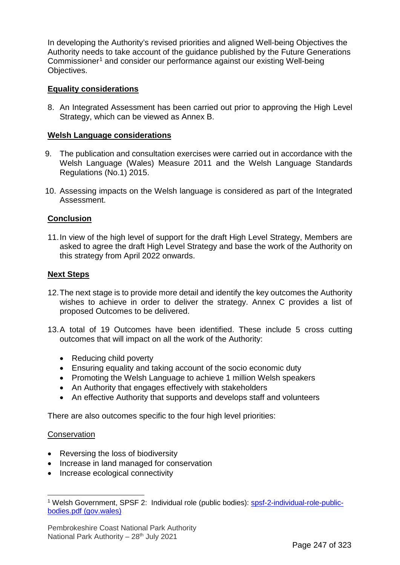In developing the Authority's revised priorities and aligned Well-being Objectives the Authority needs to take account of the guidance published by the Future Generations Commissioner<sup>[1](#page-6-0)</sup> and consider our performance against our existing Well-being Objectives.

#### **Equality considerations**

8. An Integrated Assessment has been carried out prior to approving the High Level Strategy, which can be viewed as Annex B.

#### **Welsh Language considerations**

- 9. The publication and consultation exercises were carried out in accordance with the Welsh Language (Wales) Measure 2011 and the Welsh Language Standards Regulations (No.1) 2015.
- 10. Assessing impacts on the Welsh language is considered as part of the Integrated Assessment.

#### **Conclusion**

11.In view of the high level of support for the draft High Level Strategy, Members are asked to agree the draft High Level Strategy and base the work of the Authority on this strategy from April 2022 onwards.

#### **Next Steps**

- 12.The next stage is to provide more detail and identify the key outcomes the Authority wishes to achieve in order to deliver the strategy. Annex C provides a list of proposed Outcomes to be delivered.
- 13.A total of 19 Outcomes have been identified. These include 5 cross cutting outcomes that will impact on all the work of the Authority:
	- Reducing child poverty
	- Ensuring equality and taking account of the socio economic duty
	- Promoting the Welsh Language to achieve 1 million Welsh speakers
	- An Authority that engages effectively with stakeholders
	- An effective Authority that supports and develops staff and volunteers

There are also outcomes specific to the four high level priorities:

#### **Conservation**

- Reversing the loss of biodiversity
- Increase in land managed for conservation
- Increase ecological connectivity

<span id="page-6-0"></span><sup>1</sup> <sup>1</sup> Welsh Government, SPSF 2: Individual role (public bodies): [spsf-2-individual-role-public](https://gov.wales/sites/default/files/publications/2019-02/spsf-2-individual-role-public-bodies.pdf)[bodies.pdf \(gov.wales\)](https://gov.wales/sites/default/files/publications/2019-02/spsf-2-individual-role-public-bodies.pdf)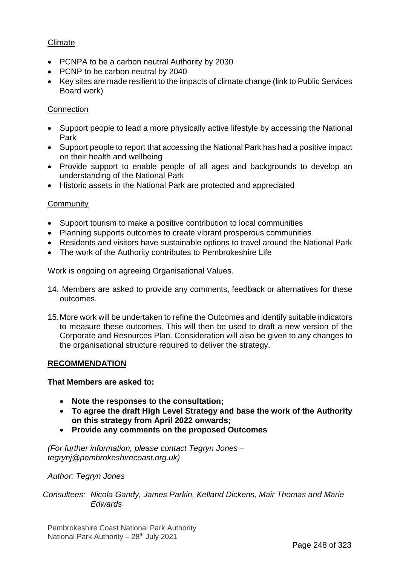#### Climate

- PCNPA to be a carbon neutral Authority by 2030
- PCNP to be carbon neutral by 2040
- Key sites are made resilient to the impacts of climate change (link to Public Services Board work)

#### **Connection**

- Support people to lead a more physically active lifestyle by accessing the National Park
- Support people to report that accessing the National Park has had a positive impact on their health and wellbeing
- Provide support to enable people of all ages and backgrounds to develop an understanding of the National Park
- Historic assets in the National Park are protected and appreciated

#### **Community**

- Support tourism to make a positive contribution to local communities
- Planning supports outcomes to create vibrant prosperous communities
- Residents and visitors have sustainable options to travel around the National Park
- The work of the Authority contributes to Pembrokeshire Life

Work is ongoing on agreeing Organisational Values.

- 14. Members are asked to provide any comments, feedback or alternatives for these outcomes.
- 15.More work will be undertaken to refine the Outcomes and identify suitable indicators to measure these outcomes. This will then be used to draft a new version of the Corporate and Resources Plan. Consideration will also be given to any changes to the organisational structure required to deliver the strategy.

#### **RECOMMENDATION**

#### **That Members are asked to:**

- **Note the responses to the consultation;**
- **To agree the draft High Level Strategy and base the work of the Authority on this strategy from April 2022 onwards;**
- **Provide any comments on the proposed Outcomes**

*(For further information, please contact Tegryn Jones – tegrynj@pembrokeshirecoast.org.uk)*

*Author: Tegryn Jones*

*Consultees: Nicola Gandy, James Parkin, Kelland Dickens, Mair Thomas and Marie Edwards*

Pembrokeshire Coast National Park Authority National Park Authority - 28<sup>th</sup> July 2021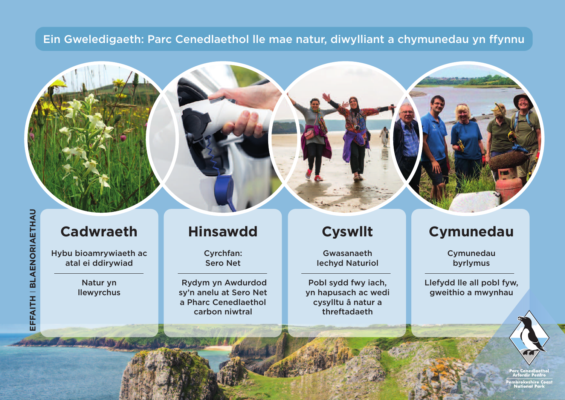### Ein Gweledigaeth: Parc Cenedlaethol lle mae natur, diwylliant a chymunedau yn ffynnu

#### **FAIT H** I **B L A E N O RIA E T H A**

**U**

**EF**

# **Cadwraeth**

**Hybu bioamrywiaeth ac atal ei ddirywiad**

> **Natur yn llewyrchus**

## **Hinsawdd**

**Cyrchfan: Sero Net**

 **Rydym yn Awdurdod sy'n anelu at Sero Net a Pharc Cenedlaethol carbon niwtral** 

## **Cyswllt**

**Gwasanaeth Iechyd Naturiol**

**Pobl sydd fwy iach, yn hapusach ac wedi cysylltu â natur a threftadaeth**

# **Cymunedau**

**Cymunedau byrlymus**

**Llefydd lle all pobl fyw, gweithio a mwynhau**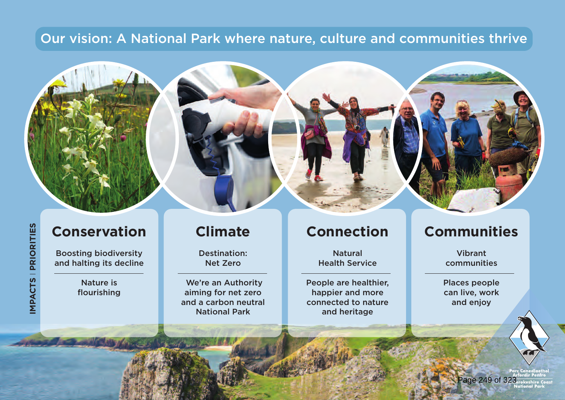### **Our vision: A National Park where nature, culture and communities thrive**

# **Conservation**

**Boosting biodiversity and halting its decline**

> **Nature is flourishing**

### **Climate**

**Destination: Net Zero**

 **We're an Authority aiming for net zero and a carbon neutral National Park** 

## **Connection**

**Natural Health Service**

**People are healthier, happier and more connected to nature and heritage**

### **Communities**

**Vibrant communities**

**Places people can live, work and enjoy**

age 249 of 3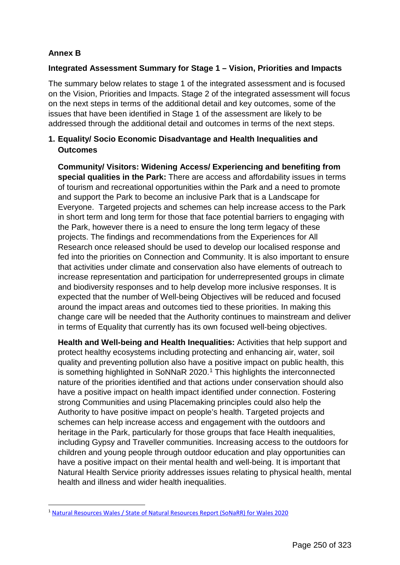#### **Annex B**

#### **Integrated Assessment Summary for Stage 1 – Vision, Priorities and Impacts**

The summary below relates to stage 1 of the integrated assessment and is focused on the Vision, Priorities and Impacts. Stage 2 of the integrated assessment will focus on the next steps in terms of the additional detail and key outcomes, some of the issues that have been identified in Stage 1 of the assessment are likely to be addressed through the additional detail and outcomes in terms of the next steps.

#### **1. Equality/ Socio Economic Disadvantage and Health Inequalities and Outcomes**

**Community/ Visitors: Widening Access/ Experiencing and benefiting from special qualities in the Park:** There are access and affordability issues in terms of tourism and recreational opportunities within the Park and a need to promote and support the Park to become an inclusive Park that is a Landscape for Everyone. Targeted projects and schemes can help increase access to the Park in short term and long term for those that face potential barriers to engaging with the Park, however there is a need to ensure the long term legacy of these projects. The findings and recommendations from the Experiences for All Research once released should be used to develop our localised response and fed into the priorities on Connection and Community. It is also important to ensure that activities under climate and conservation also have elements of outreach to increase representation and participation for underrepresented groups in climate and biodiversity responses and to help develop more inclusive responses. It is expected that the number of Well-being Objectives will be reduced and focused around the impact areas and outcomes tied to these priorities. In making this change care will be needed that the Authority continues to mainstream and deliver in terms of Equality that currently has its own focused well-being objectives.

**Health and Well-being and Health Inequalities:** Activities that help support and protect healthy ecosystems including protecting and enhancing air, water, soil quality and preventing pollution also have a positive impact on public health, this is something highlighted in SoNNaR 2020. [1](#page-10-0) This highlights the interconnected nature of the priorities identified and that actions under conservation should also have a positive impact on health impact identified under connection. Fostering strong Communities and using Placemaking principles could also help the Authority to have positive impact on people's health. Targeted projects and schemes can help increase access and engagement with the outdoors and heritage in the Park, particularly for those groups that face Health inequalities, including Gypsy and Traveller communities. Increasing access to the outdoors for children and young people through outdoor education and play opportunities can have a positive impact on their mental health and well-being. It is important that Natural Health Service priority addresses issues relating to physical health, mental health and illness and wider health inequalities.

<span id="page-10-0"></span> $\overline{a}$ <sup>1</sup> [Natural Resources Wales / State of Natural Resources Report \(SoNaRR\) for Wales 2020](https://naturalresources.wales/evidence-and-data/research-and-reports/state-of-natural-resources-report-sonarr-for-wales-2020/?lang=en)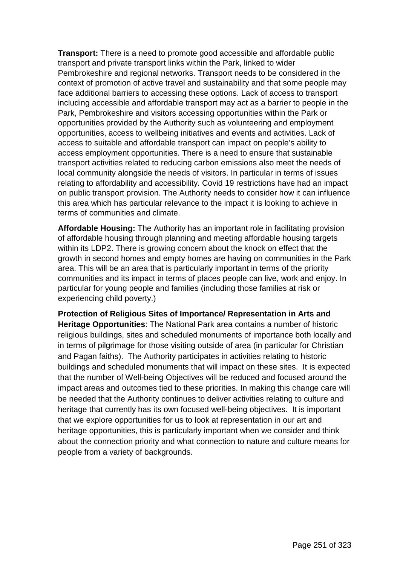**Transport:** There is a need to promote good accessible and affordable public transport and private transport links within the Park, linked to wider Pembrokeshire and regional networks. Transport needs to be considered in the context of promotion of active travel and sustainability and that some people may face additional barriers to accessing these options. Lack of access to transport including accessible and affordable transport may act as a barrier to people in the Park, Pembrokeshire and visitors accessing opportunities within the Park or opportunities provided by the Authority such as volunteering and employment opportunities, access to wellbeing initiatives and events and activities. Lack of access to suitable and affordable transport can impact on people's ability to access employment opportunities. There is a need to ensure that sustainable transport activities related to reducing carbon emissions also meet the needs of local community alongside the needs of visitors. In particular in terms of issues relating to affordability and accessibility. Covid 19 restrictions have had an impact on public transport provision. The Authority needs to consider how it can influence this area which has particular relevance to the impact it is looking to achieve in terms of communities and climate.

**Affordable Housing:** The Authority has an important role in facilitating provision of affordable housing through planning and meeting affordable housing targets within its LDP2. There is growing concern about the knock on effect that the growth in second homes and empty homes are having on communities in the Park area. This will be an area that is particularly important in terms of the priority communities and its impact in terms of places people can live, work and enjoy. In particular for young people and families (including those families at risk or experiencing child poverty.)

**Protection of Religious Sites of Importance/ Representation in Arts and Heritage Opportunities**: The National Park area contains a number of historic religious buildings, sites and scheduled monuments of importance both locally and in terms of pilgrimage for those visiting outside of area (in particular for Christian and Pagan faiths). The Authority participates in activities relating to historic buildings and scheduled monuments that will impact on these sites. It is expected that the number of Well-being Objectives will be reduced and focused around the impact areas and outcomes tied to these priorities. In making this change care will be needed that the Authority continues to deliver activities relating to culture and heritage that currently has its own focused well-being objectives. It is important that we explore opportunities for us to look at representation in our art and heritage opportunities, this is particularly important when we consider and think about the connection priority and what connection to nature and culture means for people from a variety of backgrounds.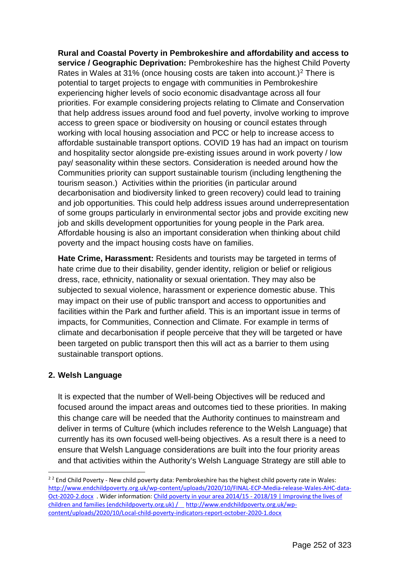**Rural and Coastal Poverty in Pembrokeshire and affordability and access to service / Geographic Deprivation:** Pembrokeshire has the highest Child Poverty Rates in Wales at 31% (once housing costs are taken into account.)[2](#page-12-0) There is potential to target projects to engage with communities in Pembrokeshire experiencing higher levels of socio economic disadvantage across all four priorities. For example considering projects relating to Climate and Conservation that help address issues around food and fuel poverty, involve working to improve access to green space or biodiversity on housing or council estates through working with local housing association and PCC or help to increase access to affordable sustainable transport options. COVID 19 has had an impact on tourism and hospitality sector alongside pre-existing issues around in work poverty / low pay/ seasonality within these sectors. Consideration is needed around how the Communities priority can support sustainable tourism (including lengthening the tourism season.) Activities within the priorities (in particular around decarbonisation and biodiversity linked to green recovery) could lead to training and job opportunities. This could help address issues around underrepresentation of some groups particularly in environmental sector jobs and provide exciting new job and skills development opportunities for young people in the Park area. Affordable housing is also an important consideration when thinking about child poverty and the impact housing costs have on families.

**Hate Crime, Harassment:** Residents and tourists may be targeted in terms of hate crime due to their disability, gender identity, religion or belief or religious dress, race, ethnicity, nationality or sexual orientation. They may also be subjected to sexual violence, harassment or experience domestic abuse. This may impact on their use of public transport and access to opportunities and facilities within the Park and further afield. This is an important issue in terms of impacts, for Communities, Connection and Climate. For example in terms of climate and decarbonisation if people perceive that they will be targeted or have been targeted on public transport then this will act as a barrier to them using sustainable transport options.

#### **2. Welsh Language**

<u>.</u>

It is expected that the number of Well-being Objectives will be reduced and focused around the impact areas and outcomes tied to these priorities. In making this change care will be needed that the Authority continues to mainstream and deliver in terms of Culture (which includes reference to the Welsh Language) that currently has its own focused well-being objectives. As a result there is a need to ensure that Welsh Language considerations are built into the four priority areas and that activities within the Authority's Welsh Language Strategy are still able to

<span id="page-12-0"></span> $22$  End Child Poverty - New child poverty data: Pembrokeshire has the highest child poverty rate in Wales: [http://www.endchildpoverty.org.uk/wp-content/uploads/2020/10/FINAL-ECP-Media-release-Wales-AHC-data-](http://www.endchildpoverty.org.uk/wp-content/uploads/2020/10/FINAL-ECP-Media-release-Wales-AHC-data-Oct-2020-2.docx)[Oct-2020-2.docx](http://www.endchildpoverty.org.uk/wp-content/uploads/2020/10/FINAL-ECP-Media-release-Wales-AHC-data-Oct-2020-2.docx) . Wider information: [Child poverty in your area 2014/15 - 2018/19 | Improving the lives](http://www.endchildpoverty.org.uk/child-poverty-in-your-area-201415-201819/) of [children and families \(endchildpoverty.org.uk\)](http://www.endchildpoverty.org.uk/child-poverty-in-your-area-201415-201819/) / [http://www.endchildpoverty.org.uk/wp](http://www.endchildpoverty.org.uk/wp-content/uploads/2020/10/Local-child-poverty-indicators-report-october-2020-1.docx)[content/uploads/2020/10/Local-child-poverty-indicators-report-october-2020-1.docx](http://www.endchildpoverty.org.uk/wp-content/uploads/2020/10/Local-child-poverty-indicators-report-october-2020-1.docx)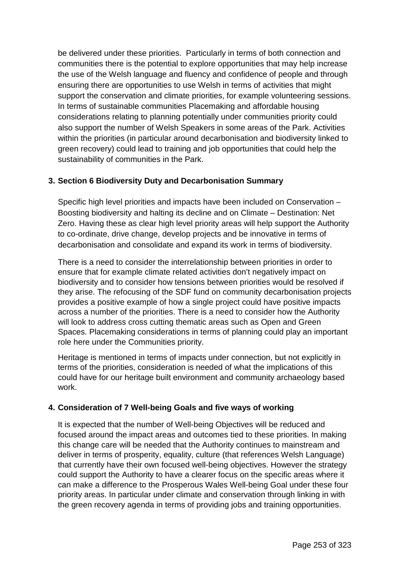be delivered under these priorities. Particularly in terms of both connection and communities there is the potential to explore opportunities that may help increase the use of the Welsh language and fluency and confidence of people and through ensuring there are opportunities to use Welsh in terms of activities that might support the conservation and climate priorities, for example volunteering sessions. In terms of sustainable communities Placemaking and affordable housing considerations relating to planning potentially under communities priority could also support the number of Welsh Speakers in some areas of the Park. Activities within the priorities (in particular around decarbonisation and biodiversity linked to green recovery) could lead to training and job opportunities that could help the sustainability of communities in the Park.

#### **3. Section 6 Biodiversity Duty and Decarbonisation Summary**

Specific high level priorities and impacts have been included on Conservation – Boosting biodiversity and halting its decline and on Climate – Destination: Net Zero. Having these as clear high level priority areas will help support the Authority to co-ordinate, drive change, develop projects and be innovative in terms of decarbonisation and consolidate and expand its work in terms of biodiversity.

There is a need to consider the interrelationship between priorities in order to ensure that for example climate related activities don't negatively impact on biodiversity and to consider how tensions between priorities would be resolved if they arise. The refocusing of the SDF fund on community decarbonisation projects provides a positive example of how a single project could have positive impacts across a number of the priorities. There is a need to consider how the Authority will look to address cross cutting thematic areas such as Open and Green Spaces. Placemaking considerations in terms of planning could play an important role here under the Communities priority.

Heritage is mentioned in terms of impacts under connection, but not explicitly in terms of the priorities, consideration is needed of what the implications of this could have for our heritage built environment and community archaeology based work.

#### **4. Consideration of 7 Well-being Goals and five ways of working**

It is expected that the number of Well-being Objectives will be reduced and focused around the impact areas and outcomes tied to these priorities. In making this change care will be needed that the Authority continues to mainstream and deliver in terms of prosperity, equality, culture (that references Welsh Language) that currently have their own focused well-being objectives. However the strategy could support the Authority to have a clearer focus on the specific areas where it can make a difference to the Prosperous Wales Well-being Goal under these four priority areas. In particular under climate and conservation through linking in with the green recovery agenda in terms of providing jobs and training opportunities.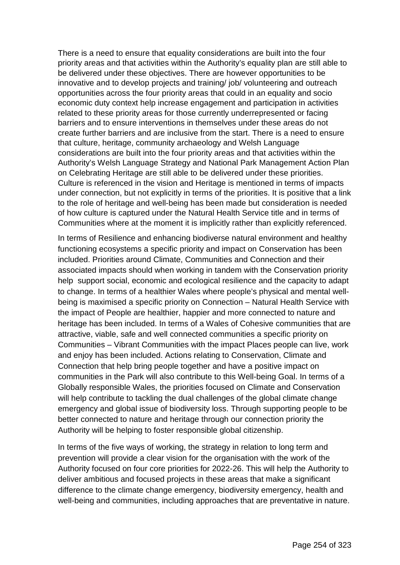There is a need to ensure that equality considerations are built into the four priority areas and that activities within the Authority's equality plan are still able to be delivered under these objectives. There are however opportunities to be innovative and to develop projects and training/ job/ volunteering and outreach opportunities across the four priority areas that could in an equality and socio economic duty context help increase engagement and participation in activities related to these priority areas for those currently underrepresented or facing barriers and to ensure interventions in themselves under these areas do not create further barriers and are inclusive from the start. There is a need to ensure that culture, heritage, community archaeology and Welsh Language considerations are built into the four priority areas and that activities within the Authority's Welsh Language Strategy and National Park Management Action Plan on Celebrating Heritage are still able to be delivered under these priorities. Culture is referenced in the vision and Heritage is mentioned in terms of impacts under connection, but not explicitly in terms of the priorities. It is positive that a link to the role of heritage and well-being has been made but consideration is needed of how culture is captured under the Natural Health Service title and in terms of Communities where at the moment it is implicitly rather than explicitly referenced.

In terms of Resilience and enhancing biodiverse natural environment and healthy functioning ecosystems a specific priority and impact on Conservation has been included. Priorities around Climate, Communities and Connection and their associated impacts should when working in tandem with the Conservation priority help support social, economic and ecological resilience and the capacity to adapt to change. In terms of a healthier Wales where people's physical and mental wellbeing is maximised a specific priority on Connection – Natural Health Service with the impact of People are healthier, happier and more connected to nature and heritage has been included. In terms of a Wales of Cohesive communities that are attractive, viable, safe and well connected communities a specific priority on Communities – Vibrant Communities with the impact Places people can live, work and enjoy has been included. Actions relating to Conservation, Climate and Connection that help bring people together and have a positive impact on communities in the Park will also contribute to this Well-being Goal. In terms of a Globally responsible Wales, the priorities focused on Climate and Conservation will help contribute to tackling the dual challenges of the global climate change emergency and global issue of biodiversity loss. Through supporting people to be better connected to nature and heritage through our connection priority the Authority will be helping to foster responsible global citizenship.

In terms of the five ways of working, the strategy in relation to long term and prevention will provide a clear vision for the organisation with the work of the Authority focused on four core priorities for 2022-26. This will help the Authority to deliver ambitious and focused projects in these areas that make a significant difference to the climate change emergency, biodiversity emergency, health and well-being and communities, including approaches that are preventative in nature.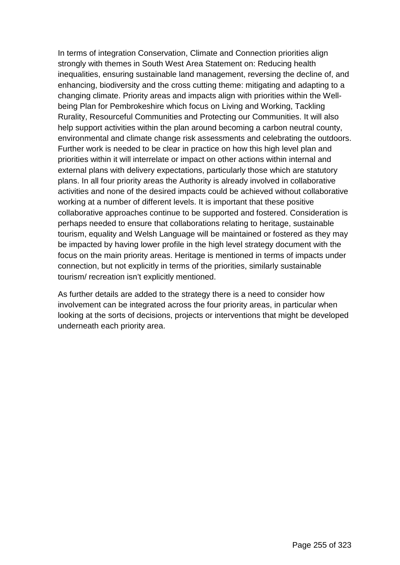In terms of integration Conservation, Climate and Connection priorities align strongly with themes in South West Area Statement on: Reducing health inequalities, ensuring sustainable land management, reversing the decline of, and enhancing, biodiversity and the cross cutting theme: mitigating and adapting to a changing climate. Priority areas and impacts align with priorities within the Wellbeing Plan for Pembrokeshire which focus on Living and Working, Tackling Rurality, Resourceful Communities and Protecting our Communities. It will also help support activities within the plan around becoming a carbon neutral county, environmental and climate change risk assessments and celebrating the outdoors. Further work is needed to be clear in practice on how this high level plan and priorities within it will interrelate or impact on other actions within internal and external plans with delivery expectations, particularly those which are statutory plans. In all four priority areas the Authority is already involved in collaborative activities and none of the desired impacts could be achieved without collaborative working at a number of different levels. It is important that these positive collaborative approaches continue to be supported and fostered. Consideration is perhaps needed to ensure that collaborations relating to heritage, sustainable tourism, equality and Welsh Language will be maintained or fostered as they may be impacted by having lower profile in the high level strategy document with the focus on the main priority areas. Heritage is mentioned in terms of impacts under connection, but not explicitly in terms of the priorities, similarly sustainable tourism/ recreation isn't explicitly mentioned.

As further details are added to the strategy there is a need to consider how involvement can be integrated across the four priority areas, in particular when looking at the sorts of decisions, projects or interventions that might be developed underneath each priority area.